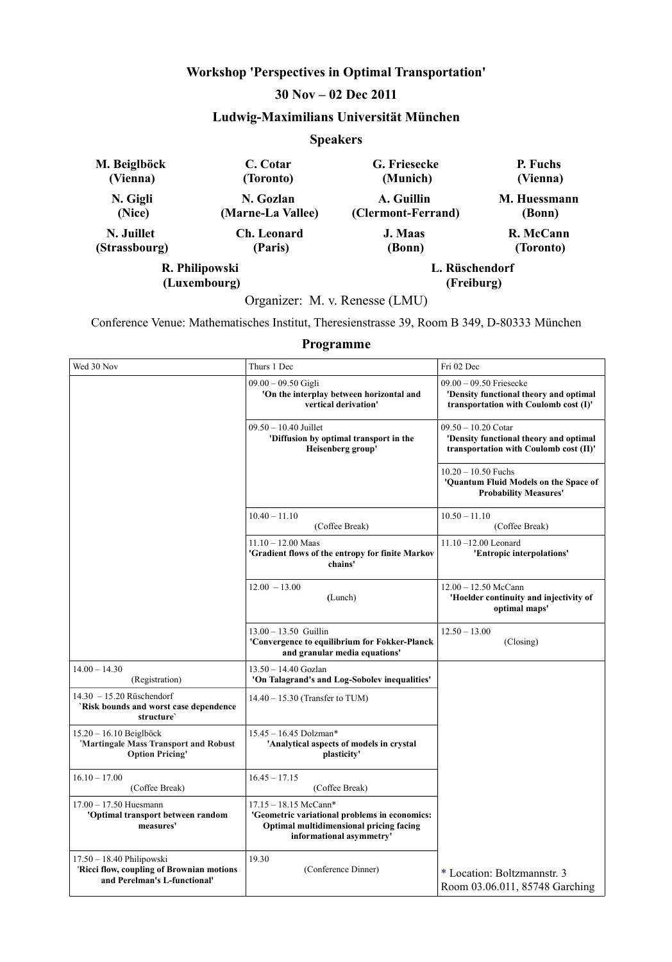# **Workshop 'Perspectives in Optimal Transportation'**

# **30 Nov – 02 Dec 2011**

# **Ludwig-Maximilians Universität München**

### **Speakers**

| M. Beiglböck   | C. Cotar          | G. Friesecke       | P. Fuchs     |
|----------------|-------------------|--------------------|--------------|
| (Vienna)       | (Toronto)         | (Munich)           | (Vienna)     |
| N. Gigli       | N. Gozlan         | A. Guillin         | M. Huessmann |
| (Nice)         | (Marne-La Vallee) | (Clermont-Ferrand) | (Bonn)       |
| N. Juillet     | Ch. Leonard       | J. Maas            | R. McCann    |
| (Strassbourg)  | (Paris)           | (Bonn)             | (Toronto)    |
| R. Philipowski |                   | L. Rüschendorf     |              |
| (Luxembourg)   |                   | (Freiburg)         |              |

Organizer: M. v. Renesse (LMU)

Conference Venue: Mathematisches Institut, Theresienstrasse 39, Room B 349, D-80333 München

### **Programme**

| Wed 30 Nov                                                                                               | Thurs 1 Dec                                                                                                                                   | Fri 02 Dec                                                                                                   |
|----------------------------------------------------------------------------------------------------------|-----------------------------------------------------------------------------------------------------------------------------------------------|--------------------------------------------------------------------------------------------------------------|
|                                                                                                          | $09.00 - 09.50$ Gigli<br>'On the interplay between horizontal and<br>vertical derivation'                                                     | $09.00 - 09.50$ Friesecke<br>'Density functional theory and optimal<br>transportation with Coulomb cost (I)' |
|                                                                                                          | $09.50 - 10.40$ Juillet<br>'Diffusion by optimal transport in the<br>Heisenberg group'                                                        | 09.50 - 10.20 Cotar<br>'Density functional theory and optimal<br>transportation with Coulomb cost (II)'      |
|                                                                                                          |                                                                                                                                               | $10.20 - 10.50$ Fuchs<br>'Quantum Fluid Models on the Space of<br><b>Probability Measures'</b>               |
|                                                                                                          | $10.40 - 11.10$<br>(Coffee Break)                                                                                                             | $10.50 - 11.10$<br>(Coffee Break)                                                                            |
|                                                                                                          | $11.10 - 12.00$ Maas<br>'Gradient flows of the entropy for finite Markov<br>chains'                                                           | $11.10 - 12.00$ Leonard<br>'Entropic interpolations'                                                         |
|                                                                                                          | $12.00 - 13.00$<br>(Lunch)                                                                                                                    | $12.00 - 12.50$ McCann<br>'Hoelder continuity and injectivity of<br>optimal maps'                            |
|                                                                                                          | $13.00 - 13.50$ Guillin<br>'Convergence to equilibrium for Fokker-Planck<br>and granular media equations'                                     | $12.50 - 13.00$<br>(Closing)                                                                                 |
| $14.00 - 14.30$<br>(Registration)                                                                        | 13.50 - 14.40 Gozlan<br>'On Talagrand's and Log-Sobolev inequalities'                                                                         |                                                                                                              |
| 14.30 - 15.20 Rüschendorf<br>`Risk bounds and worst case dependence<br>structure'                        | $14.40 - 15.30$ (Transfer to TUM)                                                                                                             |                                                                                                              |
| $15.20 - 16.10$ Beiglböck<br>'Martingale Mass Transport and Robust<br><b>Option Pricing'</b>             | $15.45 - 16.45$ Dolzman*<br>'Analytical aspects of models in crystal<br>plasticity'                                                           |                                                                                                              |
| $16.10 - 17.00$<br>(Coffee Break)                                                                        | $16.45 - 17.15$<br>(Coffee Break)                                                                                                             |                                                                                                              |
| $17.00 - 17.50$ Huesmann<br>'Optimal transport between random<br>measures'                               | 17.15 - 18.15 McCann*<br>'Geometric variational problems in economics:<br>Optimal multidimensional pricing facing<br>informational asymmetry' |                                                                                                              |
| $17.50 - 18.40$ Philipowski<br>'Ricci flow, coupling of Brownian motions<br>and Perelman's L-functional' | 19.30<br>(Conference Dinner)                                                                                                                  | * Location: Boltzmannstr. 3<br>Room 03.06.011, 85748 Garching                                                |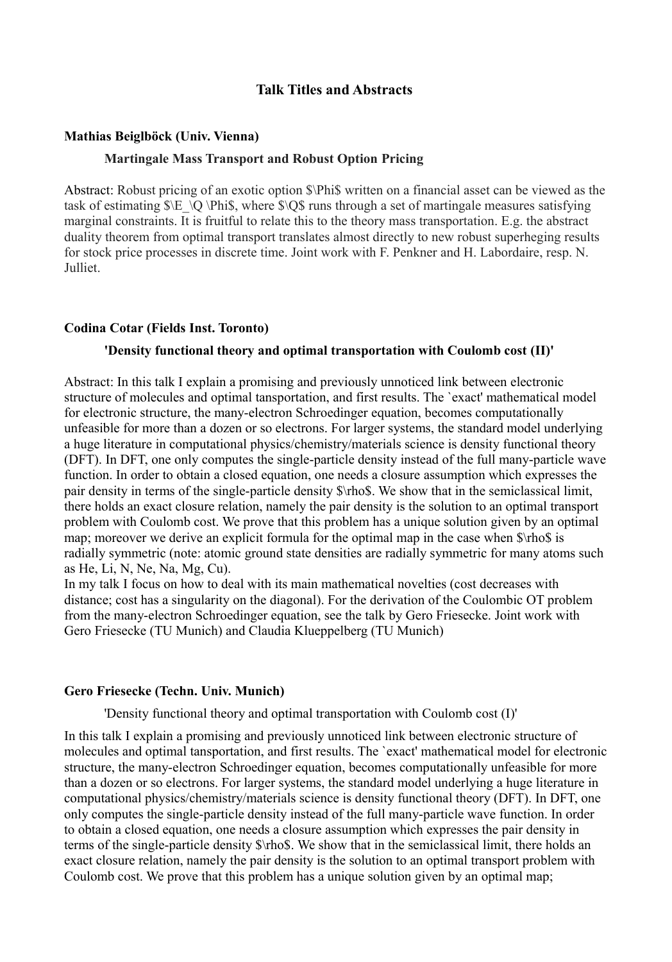# **Talk Titles and Abstracts**

### **Mathias Beiglböck (Univ. Vienna)**

# **Martingale Mass Transport and Robust Option Pricing**

Abstract: Robust pricing of an exotic option  $\Phi$  written on a financial asset can be viewed as the task of estimating  $\E \ Q \Phi$ ; where  $\O$  as through a set of martingale measures satisfying marginal constraints. It is fruitful to relate this to the theory mass transportation. E.g. the abstract duality theorem from optimal transport translates almost directly to new robust superheging results for stock price processes in discrete time. Joint work with F. Penkner and H. Labordaire, resp. N. Julliet.

### **Codina Cotar (Fields Inst. Toronto)**

### **'Density functional theory and optimal transportation with Coulomb cost (II)'**

Abstract: In this talk I explain a promising and previously unnoticed link between electronic structure of molecules and optimal tansportation, and first results. The `exact' mathematical model for electronic structure, the many-electron Schroedinger equation, becomes computationally unfeasible for more than a dozen or so electrons. For larger systems, the standard model underlying a huge literature in computational physics/chemistry/materials science is density functional theory (DFT). In DFT, one only computes the single-particle density instead of the full many-particle wave function. In order to obtain a closed equation, one needs a closure assumption which expresses the pair density in terms of the single-particle density \$\rho\$. We show that in the semiclassical limit, there holds an exact closure relation, namely the pair density is the solution to an optimal transport problem with Coulomb cost. We prove that this problem has a unique solution given by an optimal map; moreover we derive an explicit formula for the optimal map in the case when  $\frac{\pi}{3}$  is radially symmetric (note: atomic ground state densities are radially symmetric for many atoms such as He, Li, N, Ne, Na, Mg, Cu).

In my talk I focus on how to deal with its main mathematical novelties (cost decreases with distance; cost has a singularity on the diagonal). For the derivation of the Coulombic OT problem from the many-electron Schroedinger equation, see the talk by Gero Friesecke. Joint work with Gero Friesecke (TU Munich) and Claudia Klueppelberg (TU Munich)

### **Gero Friesecke (Techn. Univ. Munich)**

'Density functional theory and optimal transportation with Coulomb cost (I)'

In this talk I explain a promising and previously unnoticed link between electronic structure of molecules and optimal tansportation, and first results. The `exact' mathematical model for electronic structure, the many-electron Schroedinger equation, becomes computationally unfeasible for more than a dozen or so electrons. For larger systems, the standard model underlying a huge literature in computational physics/chemistry/materials science is density functional theory (DFT). In DFT, one only computes the single-particle density instead of the full many-particle wave function. In order to obtain a closed equation, one needs a closure assumption which expresses the pair density in terms of the single-particle density \$\rho\$. We show that in the semiclassical limit, there holds an exact closure relation, namely the pair density is the solution to an optimal transport problem with Coulomb cost. We prove that this problem has a unique solution given by an optimal map;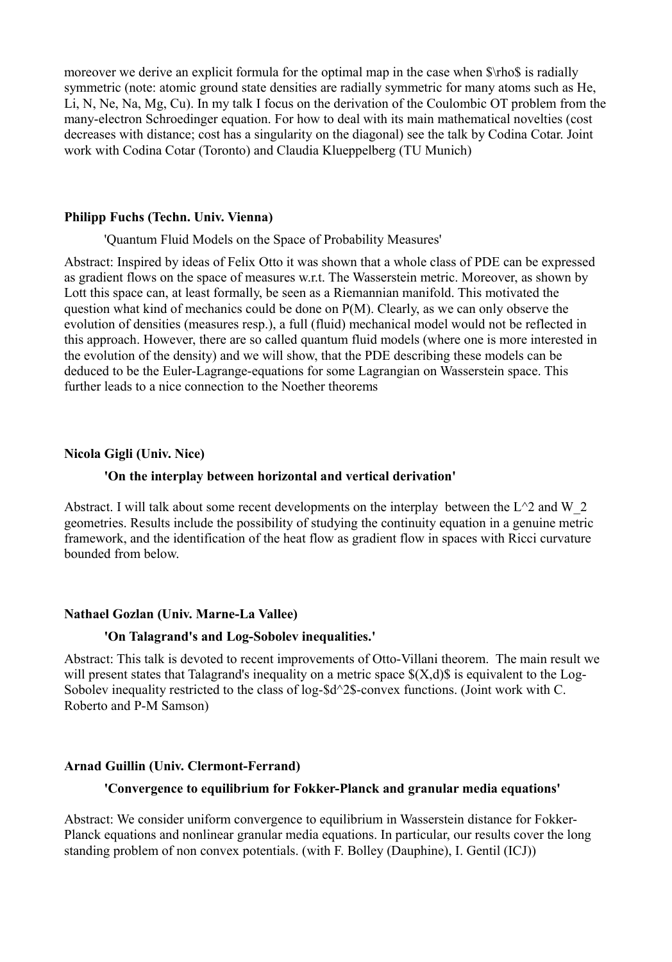moreover we derive an explicit formula for the optimal map in the case when  $\rho \$  is radially symmetric (note: atomic ground state densities are radially symmetric for many atoms such as He, Li, N, Ne, Na, Mg, Cu). In my talk I focus on the derivation of the Coulombic OT problem from the many-electron Schroedinger equation. For how to deal with its main mathematical novelties (cost decreases with distance; cost has a singularity on the diagonal) see the talk by Codina Cotar. Joint work with Codina Cotar (Toronto) and Claudia Klueppelberg (TU Munich)

### **Philipp Fuchs (Techn. Univ. Vienna)**

### 'Quantum Fluid Models on the Space of Probability Measures'

Abstract: Inspired by ideas of Felix Otto it was shown that a whole class of PDE can be expressed as gradient flows on the space of measures w.r.t. The Wasserstein metric. Moreover, as shown by Lott this space can, at least formally, be seen as a Riemannian manifold. This motivated the question what kind of mechanics could be done on P(M). Clearly, as we can only observe the evolution of densities (measures resp.), a full (fluid) mechanical model would not be reflected in this approach. However, there are so called quantum fluid models (where one is more interested in the evolution of the density) and we will show, that the PDE describing these models can be deduced to be the Euler-Lagrange-equations for some Lagrangian on Wasserstein space. This further leads to a nice connection to the Noether theorems

# **Nicola Gigli (Univ. Nice)**

### **'On the interplay between horizontal and vertical derivation'**

Abstract. I will talk about some recent developments on the interplay between the  $L^2$  and W  $2$ geometries. Results include the possibility of studying the continuity equation in a genuine metric framework, and the identification of the heat flow as gradient flow in spaces with Ricci curvature bounded from below.

# **Nathael Gozlan (Univ. Marne-La Vallee)**

# **'On Talagrand's and Log-Sobolev inequalities.'**

Abstract: This talk is devoted to recent improvements of Otto-Villani theorem. The main result we will present states that Talagrand's inequality on a metric space  $\mathcal{S}(X,d)\mathcal{S}$  is equivalent to the Log-Sobolev inequality restricted to the class of log-\$d^2\$-convex functions. (Joint work with C. Roberto and P-M Samson)

# **Arnad Guillin (Univ. Clermont-Ferrand)**

# **'Convergence to equilibrium for Fokker-Planck and granular media equations'**

Abstract: We consider uniform convergence to equilibrium in Wasserstein distance for Fokker-Planck equations and nonlinear granular media equations. In particular, our results cover the long standing problem of non convex potentials. (with F. Bolley (Dauphine), I. Gentil (ICJ))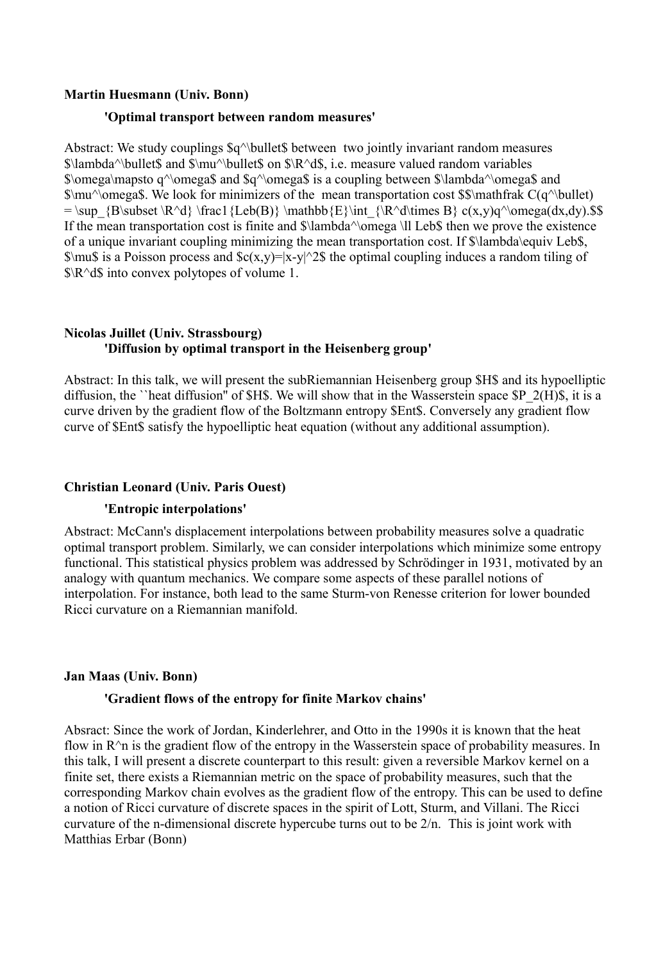# **Martin Huesmann (Univ. Bonn)**

# **'Optimal transport between random measures'**

Abstract: We study couplings  $\alpha^{\text{bullet}}$  bullet between two jointly invariant random measures  $\lambda^{\bullet}$  s\lambda^\bullet\$ and  $\mu^{\bullet}$  on  $\R^d$ \$, i.e. measure valued random variables \$\omega\mapsto q^\omega\$ and \$q^\omega\$ is a coupling between \$\lambda^\omega\$ and  $\mu^\o$  megas. We look for minimizers of the mean transportation cost  $\mathcal{S}\mathcal{C}(q^\iota)$  bullet) = \sup  ${B\subset \R^d} \frac{Leb(B)}{\mathbb{E}\int {\R^d\times B} c(x,y)q^\omega\omega(dx,dy).$ If the mean transportation cost is finite and \$\lambda^\omega \ll Leb\$ then we prove the existence of a unique invariant coupling minimizing the mean transportation cost. If \$\lambda\equiv Leb\$,  $\sum_{s}$  is a Poisson process and  $c(x,y)=|x-y|^2$  the optimal coupling induces a random tiling of \$\R^d\$ into convex polytopes of volume 1.

# **Nicolas Juillet (Univ. Strassbourg) 'Diffusion by optimal transport in the Heisenberg group'**

Abstract: In this talk, we will present the subRiemannian Heisenberg group \$H\$ and its hypoelliptic diffusion, the ``heat diffusion'' of \$H\$. We will show that in the Wasserstein space \$P\_2(H)\$, it is a curve driven by the gradient flow of the Boltzmann entropy \$Ent\$. Conversely any gradient flow curve of \$Ent\$ satisfy the hypoelliptic heat equation (without any additional assumption).

# **Christian Leonard (Univ. Paris Ouest)**

# **'Entropic interpolations'**

Abstract: McCann's displacement interpolations between probability measures solve a quadratic optimal transport problem. Similarly, we can consider interpolations which minimize some entropy functional. This statistical physics problem was addressed by Schrödinger in 1931, motivated by an analogy with quantum mechanics. We compare some aspects of these parallel notions of interpolation. For instance, both lead to the same Sturm-von Renesse criterion for lower bounded Ricci curvature on a Riemannian manifold.

# **Jan Maas (Univ. Bonn)**

# **'Gradient flows of the entropy for finite Markov chains'**

Absract: Since the work of Jordan, Kinderlehrer, and Otto in the 1990s it is known that the heat flow in  $R^{\wedge}$  is the gradient flow of the entropy in the Wasserstein space of probability measures. In this talk, I will present a discrete counterpart to this result: given a reversible Markov kernel on a finite set, there exists a Riemannian metric on the space of probability measures, such that the corresponding Markov chain evolves as the gradient flow of the entropy. This can be used to define a notion of Ricci curvature of discrete spaces in the spirit of Lott, Sturm, and Villani. The Ricci curvature of the n-dimensional discrete hypercube turns out to be 2/n. This is joint work with Matthias Erbar (Bonn)